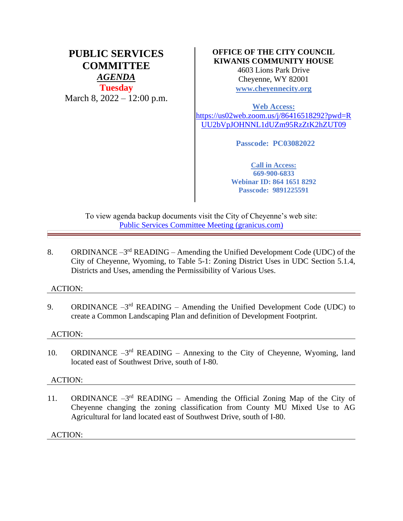# **PUBLIC SERVICES COMMITTEE** *AGENDA* **Tuesday** March 8, 2022 – 12:00 p.m.

# **OFFICE OF THE CITY COUNCIL KIWANIS COMMUNITY HOUSE**

4603 Lions Park Drive Cheyenne, WY 82001 **[www.cheyennecity.org](http://www.cheyennecity.org/)**

**Web Access:**  [https://us02web.zoom.us/j/86416518292?pwd=R](https://us02web.zoom.us/j/86416518292?pwd=RUU2bVpJOHNNL1dUZm95RzZtK2hZUT09) [UU2bVpJOHNNL1dUZm95RzZtK2hZUT09](https://us02web.zoom.us/j/86416518292?pwd=RUU2bVpJOHNNL1dUZm95RzZtK2hZUT09)

**Passcode: PC03082022**

**Call in Access: 669-900-6833 Webinar ID: 864 1651 8292 Passcode: 9891225591**

To view agenda backup documents visit the City of Cheyenne's web site: [Public Services Committee Meeting \(granicus.com\)](https://cheyenne.granicus.com/GeneratedAgendaViewer.php?event_id=1054)

8. ORDINANCE  $-3^{rd}$  READING – Amending the Unified Development Code (UDC) of the City of Cheyenne, Wyoming, to Table 5-1: Zoning District Uses in UDC Section 5.1.4, Districts and Uses, amending the Permissibility of Various Uses.

# ACTION:

9. ORDINANCE  $-3<sup>rd</sup>$  READING – Amending the Unified Development Code (UDC) to create a Common Landscaping Plan and definition of Development Footprint.

# ACTION:

10. ORDINANCE  $-3<sup>rd</sup>$  READING – Annexing to the City of Cheyenne, Wyoming, land located east of Southwest Drive, south of I-80.

# ACTION:

11. ORDINANCE  $-3^{rd}$  READING – Amending the Official Zoning Map of the City of Cheyenne changing the zoning classification from County MU Mixed Use to AG Agricultural for land located east of Southwest Drive, south of I-80.

ACTION: